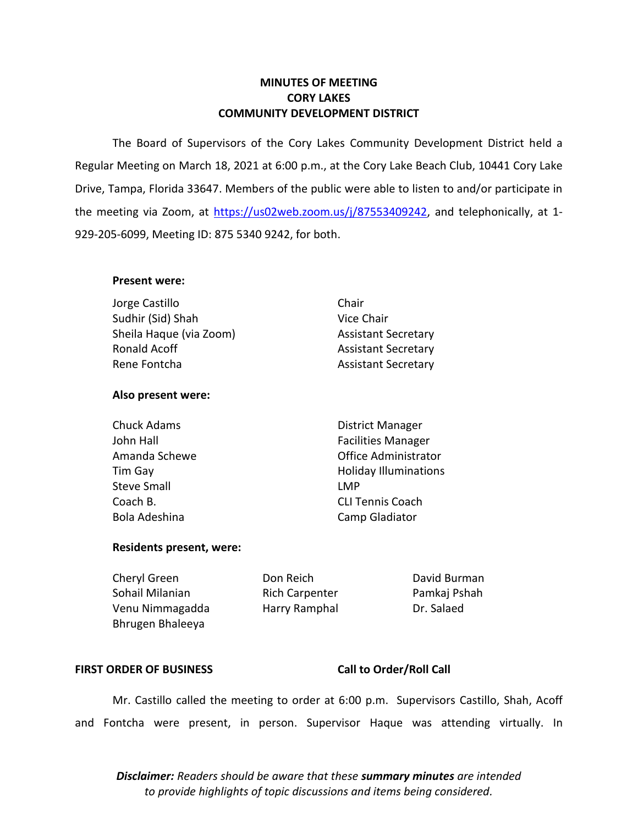# **MINUTES OF MEETING CORY LAKES COMMUNITY DEVELOPMENT DISTRICT**

 The Board of Supervisors of the Cory Lakes Community Development District held a Regular Meeting on March 18, 2021 at 6:00 p.m., at the Cory Lake Beach Club, 10441 Cory Lake Drive, Tampa, Florida 33647. Members of the public were able to listen to and/or participate in the meeting via Zoom, at [https://us02web.zoom.us/j/87553409242,](https://us02web.zoom.us/j/87553409242) and telephonically, at 1-929-205-6099, Meeting ID: 875 5340 9242, for both.

## **Present were:**

Sudhir (Sid) Shah Vice Chair Jorge Castillo Chair Sheila Haque (via Zoom) Assistant Secretary Ronald Acoff **Assistant Secretary** Rene Fontcha Assistant Secretary

# **Also present were:**

Steve Small **Steve Small** 

Chuck Adams **District Manager** John Hall **Facilities Manager** Amanda Schewe **Contract Contract Contract Contract Contract Contract Contract Contract Contract Contract Contract Contract Contract Contract Contract Contract Contract Contract Contract Contract Contract Contract Contract** Tim Gay **Holiday Illuminations** Coach B. CLI Tennis Coach Bola Adeshina Camp Gladiator

# **Residents present, were:**

Cheryl Green **Don Reich** Don Reich David Burman Sohail Milanian **Rich Carpenter** Pamkaj Pshah Venu Nimmagadda Harry Ramphal Dr. Salaed Bhrugen Bhaleeya

# FIRST ORDER OF BUSINESS Call to Order/Roll Call

 Mr. Castillo called the meeting to order at 6:00 p.m. Supervisors Castillo, Shah, Acoff and Fontcha were present, in person. Supervisor Haque was attending virtually. In

 *to provide highlights of topic discussions and items being considered. Disclaimer: Readers should be aware that these summary minutes are intended*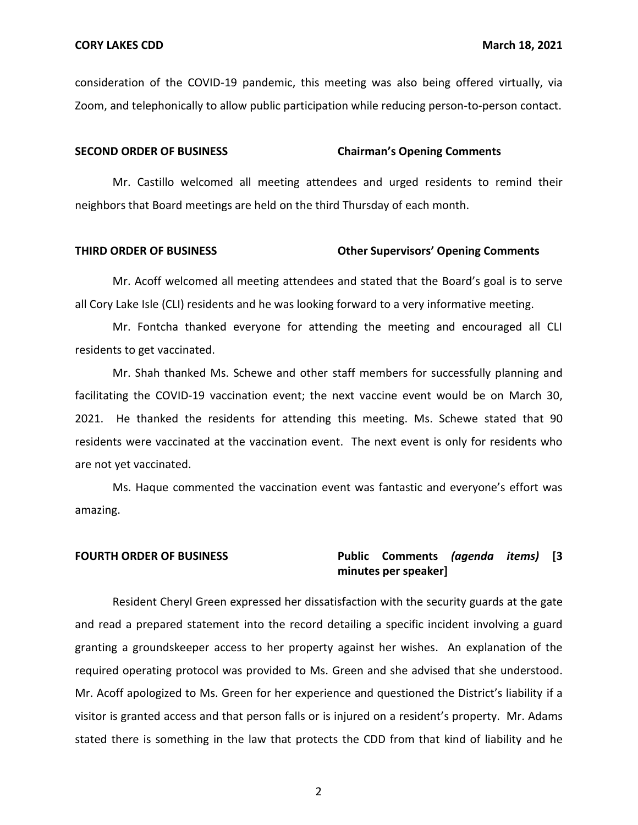consideration of the COVID-19 pandemic, this meeting was also being offered virtually, via Zoom, and telephonically to allow public participation while reducing person-to-person contact.

#### **SECOND ORDER OF BUSINESS Chairman's Opening Comments**

 Mr. Castillo welcomed all meeting attendees and urged residents to remind their neighbors that Board meetings are held on the third Thursday of each month.

#### **THIRD ORDER OF BUSINESS Other Supervisors' Opening Comments**

 Mr. Acoff welcomed all meeting attendees and stated that the Board's goal is to serve all Cory Lake Isle (CLI) residents and he was looking forward to a very informative meeting.

Mr. Fontcha thanked everyone for attending the meeting and encouraged all CLI residents to get vaccinated.

 Mr. Shah thanked Ms. Schewe and other staff members for successfully planning and 2021. He thanked the residents for attending this meeting. Ms. Schewe stated that 90 residents were vaccinated at the vaccination event. The next event is only for residents who are not yet vaccinated. facilitating the COVID-19 vaccination event; the next vaccine event would be on March 30,

 Ms. Haque commented the vaccination event was fantastic and everyone's effort was amazing.

# **FOURTH ORDER OF BUSINESS Public Comments** *(agenda items)* **[3 minutes per speaker]**

 Resident Cheryl Green expressed her dissatisfaction with the security guards at the gate and read a prepared statement into the record detailing a specific incident involving a guard granting a groundskeeper access to her property against her wishes. An explanation of the required operating protocol was provided to Ms. Green and she advised that she understood. Mr. Acoff apologized to Ms. Green for her experience and questioned the District's liability if a visitor is granted access and that person falls or is injured on a resident's property. Mr. Adams stated there is something in the law that protects the CDD from that kind of liability and he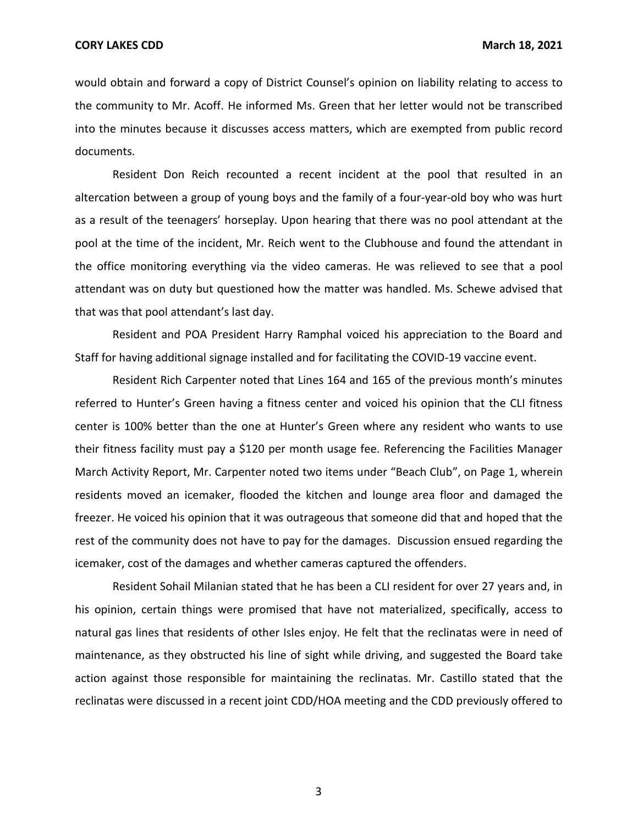would obtain and forward a copy of District Counsel's opinion on liability relating to access to the community to Mr. Acoff. He informed Ms. Green that her letter would not be transcribed into the minutes because it discusses access matters, which are exempted from public record documents.

 Resident Don Reich recounted a recent incident at the pool that resulted in an altercation between a group of young boys and the family of a four-year-old boy who was hurt as a result of the teenagers' horseplay. Upon hearing that there was no pool attendant at the pool at the time of the incident, Mr. Reich went to the Clubhouse and found the attendant in the office monitoring everything via the video cameras. He was relieved to see that a pool attendant was on duty but questioned how the matter was handled. Ms. Schewe advised that that was that pool attendant's last day.

 Resident and POA President Harry Ramphal voiced his appreciation to the Board and Staff for having additional signage installed and for facilitating the COVID-19 vaccine event.

 Resident Rich Carpenter noted that Lines 164 and 165 of the previous month's minutes referred to Hunter's Green having a fitness center and voiced his opinion that the CLI fitness center is 100% better than the one at Hunter's Green where any resident who wants to use March Activity Report, Mr. Carpenter noted two items under "Beach Club", on Page 1, wherein residents moved an icemaker, flooded the kitchen and lounge area floor and damaged the freezer. He voiced his opinion that it was outrageous that someone did that and hoped that the rest of the community does not have to pay for the damages. Discussion ensued regarding the icemaker, cost of the damages and whether cameras captured the offenders. their fitness facility must pay a \$120 per month usage fee. Referencing the Facilities Manager

 Resident Sohail Milanian stated that he has been a CLI resident for over 27 years and, in his opinion, certain things were promised that have not materialized, specifically, access to natural gas lines that residents of other Isles enjoy. He felt that the reclinatas were in need of maintenance, as they obstructed his line of sight while driving, and suggested the Board take action against those responsible for maintaining the reclinatas. Mr. Castillo stated that the reclinatas were discussed in a recent joint CDD/HOA meeting and the CDD previously offered to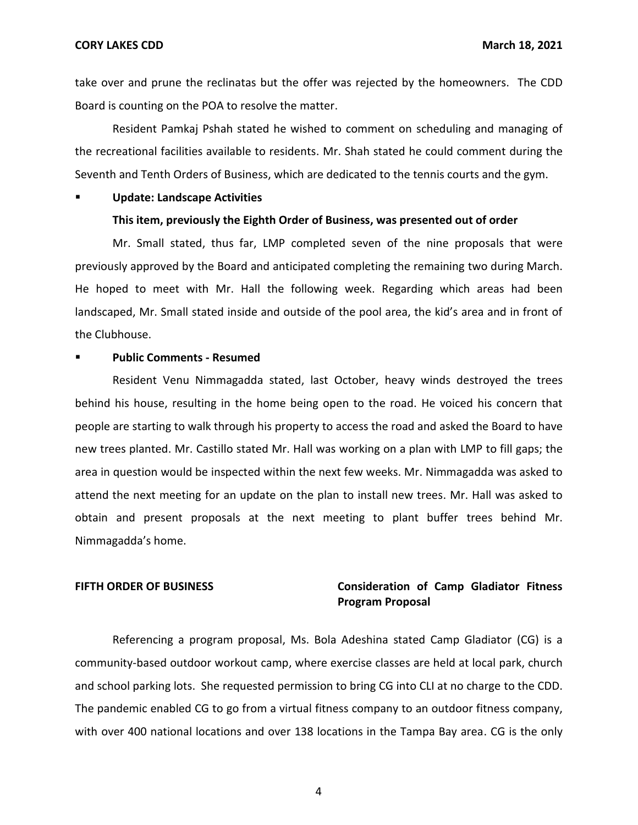**CORY LAKES CDD March 18, 2021** 

take over and prune the reclinatas but the offer was rejected by the homeowners. The CDD Board is counting on the POA to resolve the matter.

 Resident Pamkaj Pshah stated he wished to comment on scheduling and managing of Seventh and Tenth Orders of Business, which are dedicated to the tennis courts and the gym. the recreational facilities available to residents. Mr. Shah stated he could comment during the

**Update: Landscape Activities** 

### **This item, previously the Eighth Order of Business, was presented out of order**

 Mr. Small stated, thus far, LMP completed seven of the nine proposals that were previously approved by the Board and anticipated completing the remaining two during March. He hoped to meet with Mr. Hall the following week. Regarding which areas had been landscaped, Mr. Small stated inside and outside of the pool area, the kid's area and in front of the Clubhouse.

# ▪ **Public Comments - Resumed**

 behind his house, resulting in the home being open to the road. He voiced his concern that people are starting to walk through his property to access the road and asked the Board to have new trees planted. Mr. Castillo stated Mr. Hall was working on a plan with LMP to fill gaps; the area in question would be inspected within the next few weeks. Mr. Nimmagadda was asked to attend the next meeting for an update on the plan to install new trees. Mr. Hall was asked to obtain and present proposals at the next meeting to plant buffer trees behind Mr. Resident Venu Nimmagadda stated, last October, heavy winds destroyed the trees Nimmagadda's home.

# **FIFTH ORDER OF BUSINESS Consideration of Camp Gladiator Fitness Program Proposal**

 Referencing a program proposal, Ms. Bola Adeshina stated Camp Gladiator (CG) is a community-based outdoor workout camp, where exercise classes are held at local park, church and school parking lots. She requested permission to bring CG into CLI at no charge to the CDD. with over 400 national locations and over 138 locations in the Tampa Bay area. CG is the only The pandemic enabled CG to go from a virtual fitness company to an outdoor fitness company,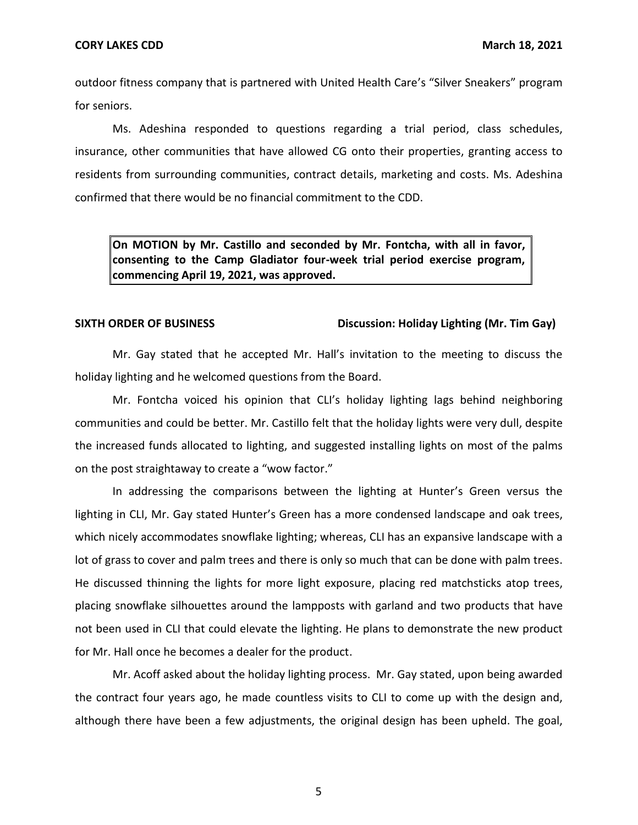outdoor fitness company that is partnered with United Health Care's "Silver Sneakers" program for seniors.

 insurance, other communities that have allowed CG onto their properties, granting access to residents from surrounding communities, contract details, marketing and costs. Ms. Adeshina confirmed that there would be no financial commitment to the CDD. Ms. Adeshina responded to questions regarding a trial period, class schedules,

 **On MOTION by Mr. Castillo and seconded by Mr. Fontcha, with all in favor, consenting to the Camp Gladiator four-week trial period exercise program, commencing April 19, 2021, was approved.** 

### SIXTH ORDER OF BUSINESS **Discussion: Holiday Lighting (Mr. Tim Gay)**

 Mr. Gay stated that he accepted Mr. Hall's invitation to the meeting to discuss the holiday lighting and he welcomed questions from the Board.

 Mr. Fontcha voiced his opinion that CLI's holiday lighting lags behind neighboring communities and could be better. Mr. Castillo felt that the holiday lights were very dull, despite the increased funds allocated to lighting, and suggested installing lights on most of the palms on the post straightaway to create a "wow factor."

 In addressing the comparisons between the lighting at Hunter's Green versus the lighting in CLI, Mr. Gay stated Hunter's Green has a more condensed landscape and oak trees, which nicely accommodates snowflake lighting; whereas, CLI has an expansive landscape with a lot of grass to cover and palm trees and there is only so much that can be done with palm trees. He discussed thinning the lights for more light exposure, placing red matchsticks atop trees, not been used in CLI that could elevate the lighting. He plans to demonstrate the new product for Mr. Hall once he becomes a dealer for the product. placing snowflake silhouettes around the lampposts with garland and two products that have

 the contract four years ago, he made countless visits to CLI to come up with the design and, although there have been a few adjustments, the original design has been upheld. The goal, Mr. Acoff asked about the holiday lighting process. Mr. Gay stated, upon being awarded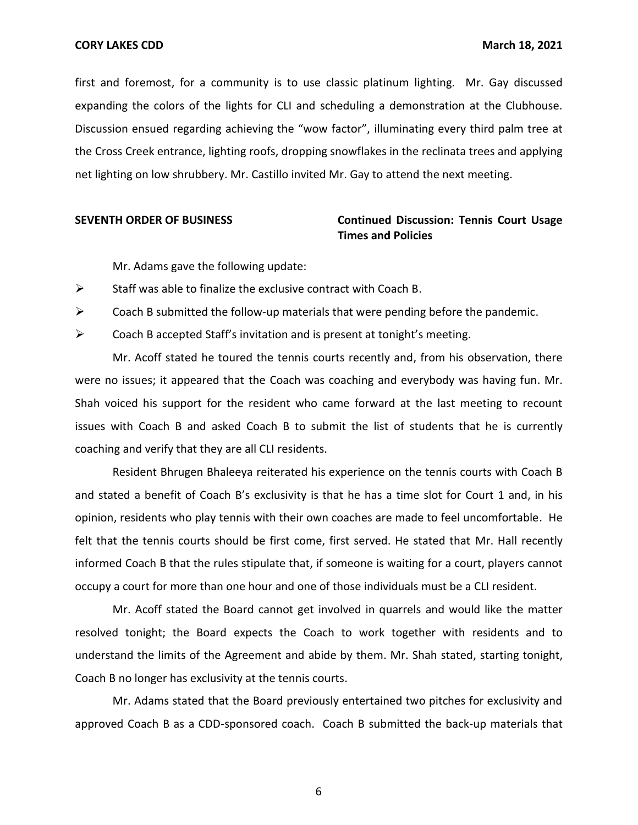first and foremost, for a community is to use classic platinum lighting. Mr. Gay discussed expanding the colors of the lights for CLI and scheduling a demonstration at the Clubhouse. Discussion ensued regarding achieving the "wow factor", illuminating every third palm tree at the Cross Creek entrance, lighting roofs, dropping snowflakes in the reclinata trees and applying net lighting on low shrubbery. Mr. Castillo invited Mr. Gay to attend the next meeting.

# **SEVENTH ORDER OF BUSINESS Continued Discussion: Tennis Court Usage Times and Policies**

Mr. Adams gave the following update:

 $\triangleright$  Staff was able to finalize the exclusive contract with Coach B.

 $\triangleright$  Coach B submitted the follow-up materials that were pending before the pandemic.

 $\triangleright$  Coach B accepted Staff's invitation and is present at tonight's meeting.

 Mr. Acoff stated he toured the tennis courts recently and, from his observation, there were no issues; it appeared that the Coach was coaching and everybody was having fun. Mr. Shah voiced his support for the resident who came forward at the last meeting to recount issues with Coach B and asked Coach B to submit the list of students that he is currently coaching and verify that they are all CLI residents.

 Resident Bhrugen Bhaleeya reiterated his experience on the tennis courts with Coach B and stated a benefit of Coach B's exclusivity is that he has a time slot for Court 1 and, in his opinion, residents who play tennis with their own coaches are made to feel uncomfortable. He felt that the tennis courts should be first come, first served. He stated that Mr. Hall recently occupy a court for more than one hour and one of those individuals must be a CLI resident. informed Coach B that the rules stipulate that, if someone is waiting for a court, players cannot

 Mr. Acoff stated the Board cannot get involved in quarrels and would like the matter resolved tonight; the Board expects the Coach to work together with residents and to understand the limits of the Agreement and abide by them. Mr. Shah stated, starting tonight, Coach B no longer has exclusivity at the tennis courts.

 Mr. Adams stated that the Board previously entertained two pitches for exclusivity and approved Coach B as a CDD-sponsored coach. Coach B submitted the back-up materials that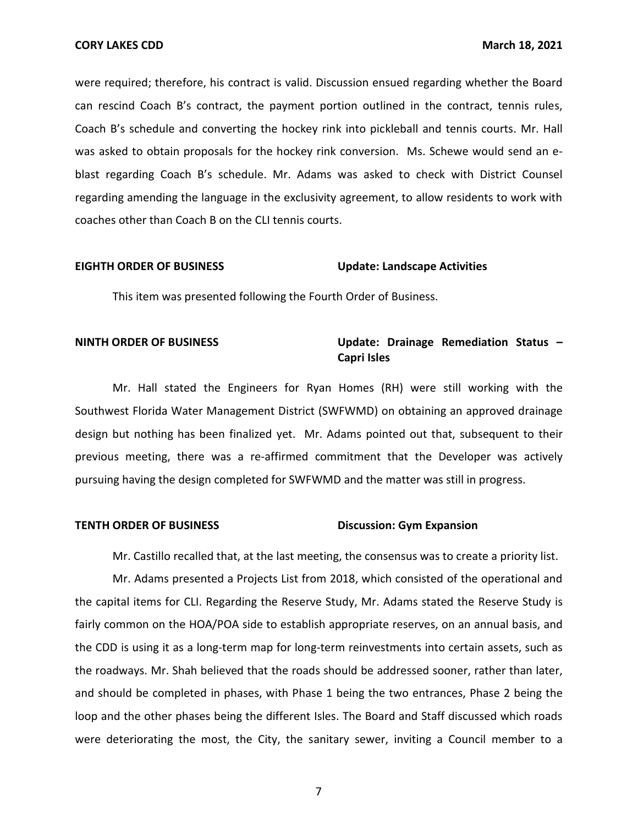were required; therefore, his contract is valid. Discussion ensued regarding whether the Board can rescind Coach B's contract, the payment portion outlined in the contract, tennis rules, was asked to obtain proposals for the hockey rink conversion. Ms. Schewe would send an e- blast regarding Coach B's schedule. Mr. Adams was asked to check with District Counsel regarding amending the language in the exclusivity agreement, to allow residents to work with coaches other than Coach B on the CLI tennis courts. Coach B's schedule and converting the hockey rink into pickleball and tennis courts. Mr. Hall

### **EIGHTH ORDER OF BUSINESS Update: Landscape Activities**

This item was presented following the Fourth Order of Business.

# **NINTH ORDER OF BUSINESS The Status Control of August Control of August 2013 Control of August 2013 Control of August 2014 Control of August 2014 Control of August 2014 Control of August 2014 Control of August 2015 Contr Capri Isles**

 Southwest Florida Water Management District (SWFWMD) on obtaining an approved drainage design but nothing has been finalized yet. Mr. Adams pointed out that, subsequent to their previous meeting, there was a re-affirmed commitment that the Developer was actively pursuing having the design completed for SWFWMD and the matter was still in progress. Mr. Hall stated the Engineers for Ryan Homes (RH) were still working with the

#### **TENTH ORDER OF BUSINESS TEND BUSICALLY BUSICALLY DISCUSSION: Gym Expansion**

Mr. Castillo recalled that, at the last meeting, the consensus was to create a priority list.

 Mr. Adams presented a Projects List from 2018, which consisted of the operational and the capital items for CLI. Regarding the Reserve Study, Mr. Adams stated the Reserve Study is the CDD is using it as a long-term map for long-term reinvestments into certain assets, such as the roadways. Mr. Shah believed that the roads should be addressed sooner, rather than later, and should be completed in phases, with Phase 1 being the two entrances, Phase 2 being the loop and the other phases being the different Isles. The Board and Staff discussed which roads were deteriorating the most, the City, the sanitary sewer, inviting a Council member to a fairly common on the HOA/POA side to establish appropriate reserves, on an annual basis, and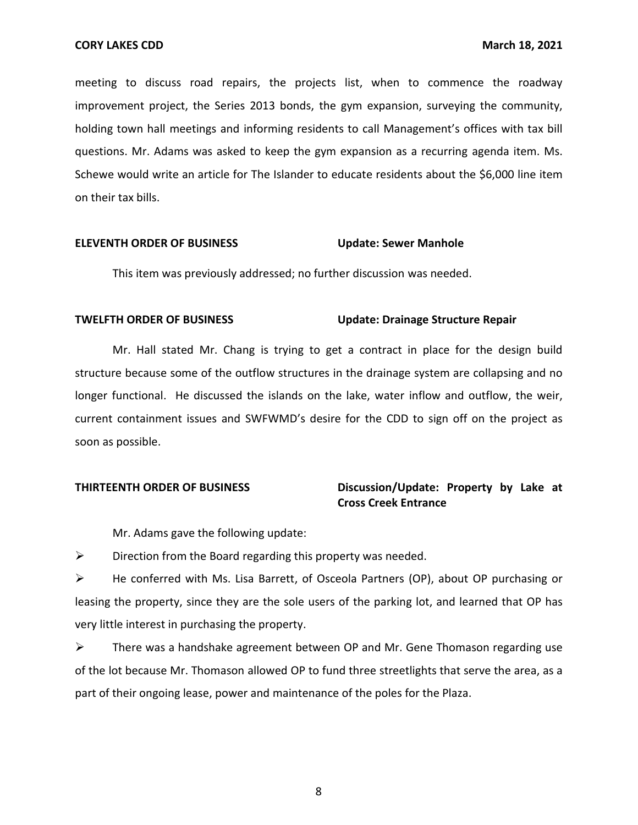holding town hall meetings and informing residents to call Management's offices with tax bill questions. Mr. Adams was asked to keep the gym expansion as a recurring agenda item. Ms. Schewe would write an article for The Islander to educate residents about the \$6,000 line item on their tax bills. meeting to discuss road repairs, the projects list, when to commence the roadway improvement project, the Series 2013 bonds, the gym expansion, surveying the community,

### **ELEVENTH ORDER OF BUSINESS Update: Sewer Manhole**

This item was previously addressed; no further discussion was needed.

# **TWELFTH ORDER OF BUSINESS CONSUMING METAL Update: Drainage Structure Repair**

 Mr. Hall stated Mr. Chang is trying to get a contract in place for the design build structure because some of the outflow structures in the drainage system are collapsing and no structure because some of the outflow structures in the drainage system are collapsing and no<br>longer functional. He discussed the islands on the lake, water inflow and outflow, the weir, current containment issues and SWFWMD's desire for the CDD to sign off on the project as soon as possible.

# **THIRTEENTH ORDER OF BUSINESS** Discussion/Update: Property by Lake at **Cross Creek Entrance**

Mr. Adams gave the following update:

 $\triangleright$  Direction from the Board regarding this property was needed.

 ➢ He conferred with Ms. Lisa Barrett, of Osceola Partners (OP), about OP purchasing or leasing the property, since they are the sole users of the parking lot, and learned that OP has very little interest in purchasing the property.

 of the lot because Mr. Thomason allowed OP to fund three streetlights that serve the area, as a part of their ongoing lease, power and maintenance of the poles for the Plaza. ➢ There was a handshake agreement between OP and Mr. Gene Thomason regarding use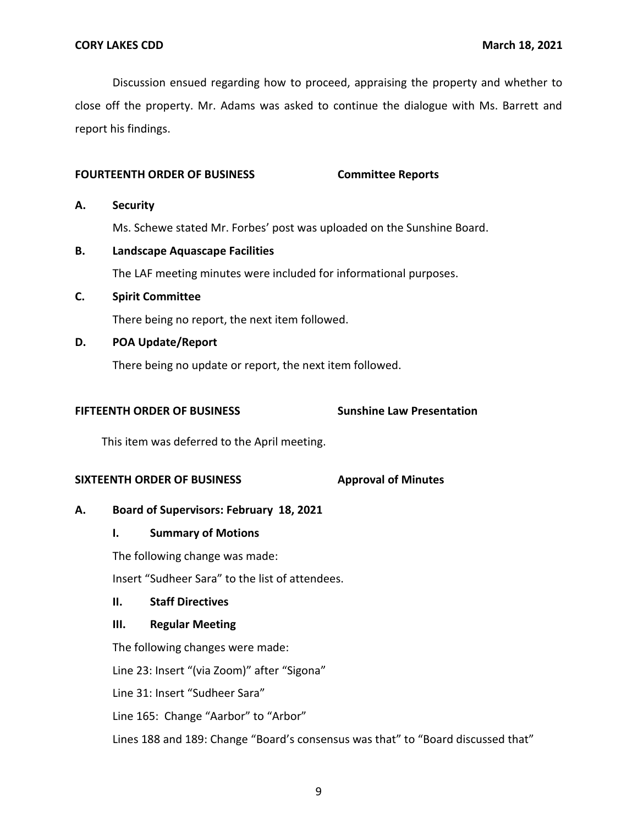Discussion ensued regarding how to proceed, appraising the property and whether to close off the property. Mr. Adams was asked to continue the dialogue with Ms. Barrett and report his findings.

# **FOURTEENTH ORDER OF BUSINESS Committee Reports**

### **A. Security**

Ms. Schewe stated Mr. Forbes' post was uploaded on the Sunshine Board.

- The LAF meeting minutes were included for informational purposes. **B. Landscape Aquascape Facilities**
- **C. Spirit Committee**

There being no report, the next item followed.

**D. POA Update/Report** 

There being no update or report, the next item followed.

# **FIFTEENTH ORDER OF BUSINESS**

**Sunshine Law Presentation** 

This item was deferred to the April meeting.

## **SIXTEENTH ORDER OF BUSINESS**

**Approval of Minutes** 

# **A. Board of Supervisors: February 18, 2021**

# **I. Summary of Motions**

The following change was made:

Insert "Sudheer Sara" to the list of attendees.

# **II. Staff Directives**

## **III. Regular Meeting**

The following changes were made:

Line 23: Insert "(via Zoom)" after "Sigona"

Line 31: Insert "Sudheer Sara"

Line 165: Change "Aarbor" to "Arbor"

Lines 188 and 189: Change "Board's consensus was that" to "Board discussed that"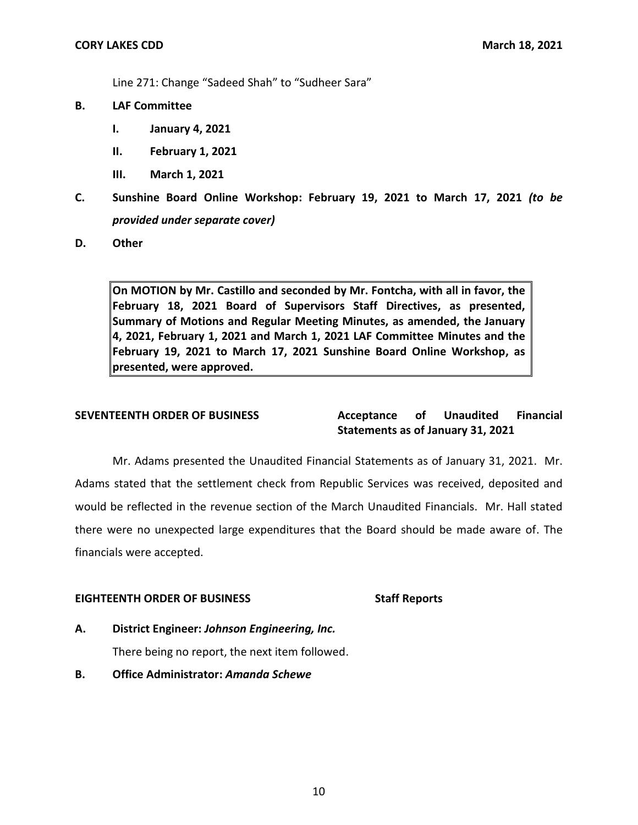Line 271: Change "Sadeed Shah" to "Sudheer Sara"

- **B. LAF Committee** 
	- **I. January 4, 2021**
	- **II. February 1, 2021**
	- **III. March 1, 2021**
- **C. Sunshine Board Online Workshop: February 19, 2021 to March 17, 2021** *(to be provided under separate cover)*
- **D. Other**

 **On MOTION by Mr. Castillo and seconded by Mr. Fontcha, with all in favor, the February 18, 2021 Board of Supervisors Staff Directives, as presented, Summary of Motions and Regular Meeting Minutes, as amended, the January 4, 2021, February 1, 2021 and March 1, 2021 LAF Committee Minutes and the February 19, 2021 to March 17, 2021 Sunshine Board Online Workshop, as presented, were approved.** 

#### **Acceptance Statements as of January 31, 2021 SEVENTEENTH ORDER OF BUSINESS Acceptance of Unaudited Financial**

 Mr. Adams presented the Unaudited Financial Statements as of January 31, 2021. Mr. Adams stated that the settlement check from Republic Services was received, deposited and would be reflected in the revenue section of the March Unaudited Financials. Mr. Hall stated there were no unexpected large expenditures that the Board should be made aware of. The financials were accepted.

## EIGHTEENTH ORDER OF BUSINESS Staff Reports

**A. District Engineer:** *Johnson Engineering, Inc.* 

There being no report, the next item followed.

**B. Office Administrator:** *Amanda Schewe*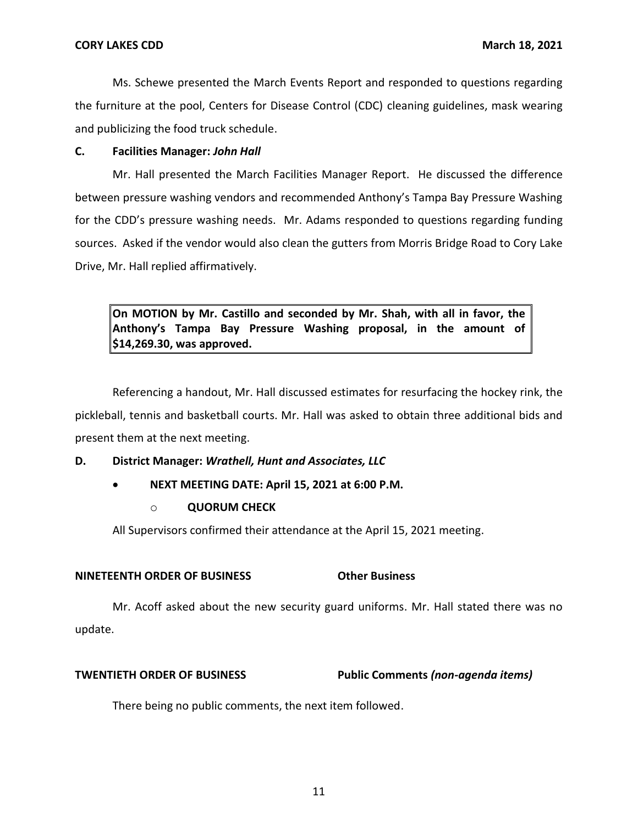Ms. Schewe presented the March Events Report and responded to questions regarding the furniture at the pool, Centers for Disease Control (CDC) cleaning guidelines, mask wearing and publicizing the food truck schedule.

# **C. Facilities Manager:** *John Hall*

 Mr. Hall presented the March Facilities Manager Report. He discussed the difference between pressure washing vendors and recommended Anthony's Tampa Bay Pressure Washing for the CDD's pressure washing needs. Mr. Adams responded to questions regarding funding sources. Asked if the vendor would also clean the gutters from Morris Bridge Road to Cory Lake Drive, Mr. Hall replied affirmatively.

 **On MOTION by Mr. Castillo and seconded by Mr. Shah, with all in favor, the Anthony's Tampa Bay Pressure Washing proposal, in the amount of [\\$14,269.30](https://14,269.30), was approved.** 

 pickleball, tennis and basketball courts. Mr. Hall was asked to obtain three additional bids and present them at the next meeting. Referencing a handout, Mr. Hall discussed estimates for resurfacing the hockey rink, the

# **D. District Manager:** *Wrathell, Hunt and Associates, LLC*

- **NEXT MEETING DATE: April 15, 2021 at 6:00 P.M.** 
	- o **QUORUM CHECK**

All Supervisors confirmed their attendance at the April 15, 2021 meeting.

# **NINETEENTH ORDER OF BUSINESS Other Business**

 Mr. Acoff asked about the new security guard uniforms. Mr. Hall stated there was no update.

# **TWENTIETH ORDER OF BUSINESS Public Comments** *(non-agenda items)*

There being no public comments, the next item followed.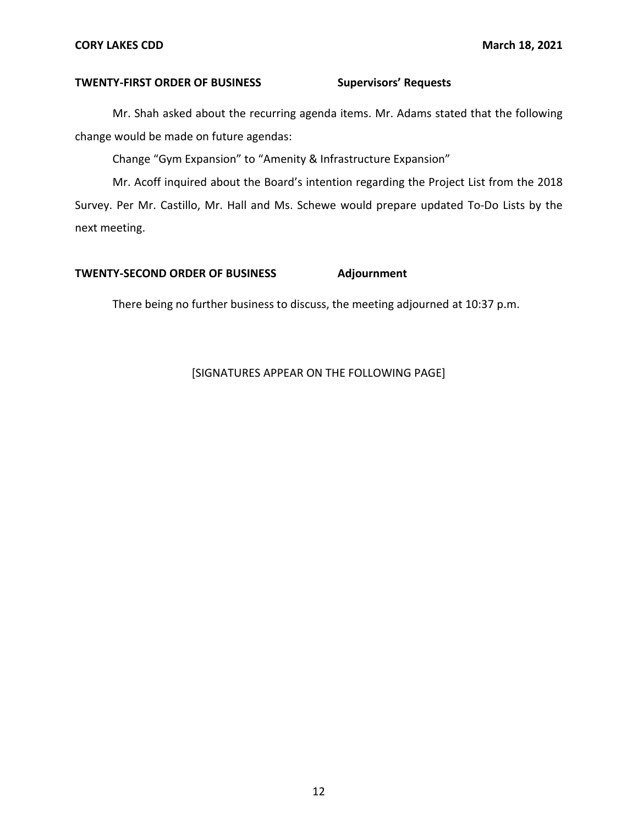### **CORY LAKES CDD March 18, 2021**

### **TWENTY-FIRST ORDER OF BUSINESS Supervisors' Requests**

 Mr. Shah asked about the recurring agenda items. Mr. Adams stated that the following change would be made on future agendas:

Change "Gym Expansion" to "Amenity & Infrastructure Expansion"

 Mr. Acoff inquired about the Board's intention regarding the Project List from the 2018 Survey. Per Mr. Castillo, Mr. Hall and Ms. Schewe would prepare updated To-Do Lists by the next meeting.

# **TWENTY-SECOND ORDER OF BUSINESS Adjournment**

There being no further business to discuss, the meeting adjourned at 10:37 p.m.

# [SIGNATURES APPEAR ON THE FOLLOWING PAGE]